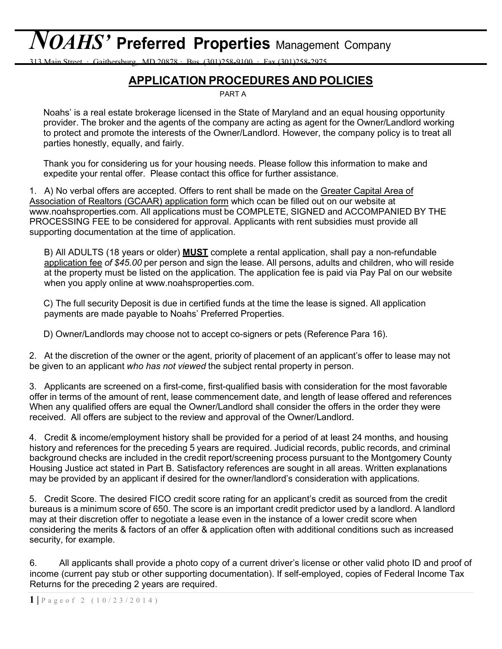# *NOAHS'* **Preferred Properties** Management Company

313 Main Street · Gaithersburg, MD 20878 · Bus. (301)258-9100 · Fax (301)258-2975

#### **APPLICATION PROCEDURES AND POLICIES**

PART A

Noahs' is a real estate brokerage licensed in the State of Maryland and an equal housing opportunity provider. The broker and the agents of the company are acting as agent for the Owner/Landlord working to protect and promote the interests of the Owner/Landlord. However, the company policy is to treat all parties honestly, equally, and fairly.

Thank you for considering us for your housing needs. Please follow this information to make and expedite your rental offer. Please contact this office for further assistance.

1. A) No verbal offers are accepted. Offers to rent shall be made on the Greater Capital Area of Association of Realtors (GCAAR) application form which ccan be filled out on our website at www.noahsproperties.com. All applications must be COMPLETE, SIGNED and ACCOMPANIED BY THE PROCESSING FEE to be considered for approval. Applicants with rent subsidies must provide all supporting [documentation](http://www.noahsproperties.com/) at the time of application.

B) All ADULTS (18 years or older) **MUST** complete a rental application, shall pay a non-refundable application fee *of \$45.00* per person and sign the lease. All persons, adults and children, who will reside at the property must be listed on the application. The application fee is paid via Pay Pal on our website when you apply online at www.noahsproperties.com.

C) The full security Deposit is due in [certified](http://www.noahsproperties.com/) funds at the time the lease is signed. All application payments are made payable to Noahs' Preferred Properties.

D) Owner/Landlords may choose not to accept co-signers or pets (Reference Para 16).

2. At the discretion of the owner or the agent, priority of placement of an applicant's offer to lease may not be given to an applicant *who has not viewed* the subject rental property in person.

3. Applicants are screened on a first-come, first-qualified basis with consideration for the most favorable offer in terms of the amount of rent, lease commencement date, and length of lease offered and references When any qualified offers are equal the Owner/Landlord shall consider the offers in the order they were received. All offers are subject to the review and approval of the Owner/Landlord.

4. Credit & income/employment history shall be provided for a period of at least 24 months, and housing history and references for the preceding 5 years are required. Judicial records, public records, and criminal background checks are included in the credit report/screening process pursuant to the Montgomery County Housing Justice act stated in Part B. Satisfactory references are sought in all areas. Written explanations may be provided by an applicant if desired for the owner/landlord's consideration with applications.

5. Credit Score. The desired FICO credit score rating for an applicant's credit as sourced from the credit bureaus is a minimum score of 650. The score is an important credit predictor used by a landlord. A landlord may at their discretion offer to negotiate a lease even in the instance of a lower credit score when considering the merits & factors of an offer & application often with additional conditions such as increased security, for example.

6. All applicants shall provide a photo copy of a current driver's license or other valid photo ID and proof of income (current pay stub or other supporting documentation). If self-employed, copies of Federal Income Tax Returns for the preceding 2 years are required.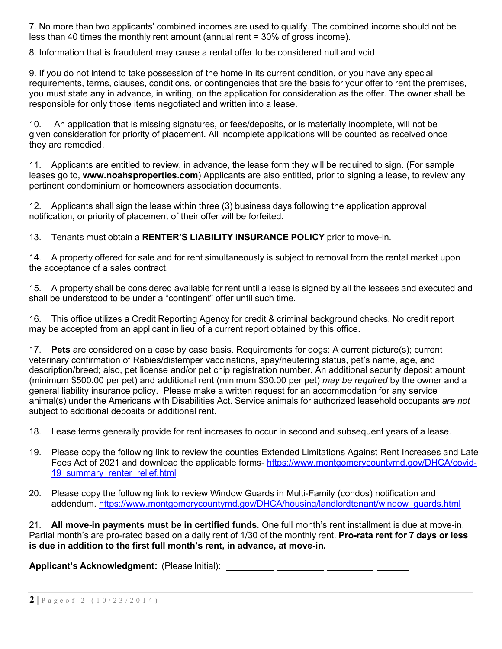7. No more than two applicants' combined incomes are used to qualify. The combined income should not be less than 40 times the monthly rent amount (annual rent = 30% of gross income).

8. Information that is fraudulent may cause a rental offer to be considered null and void.

9. If you do not intend to take possession of the home in its current condition, or you have any special requirements, terms, clauses, conditions, or contingencies that are the basis for your offer to rent the premises, you must state any in advance, in writing, on the application for consideration as the offer. The owner shall be responsible for only those items negotiated and written into a lease.

10. An application that is missing signatures, or fees/deposits, or is materially incomplete, will not be given consideration for priority of placement. All incomplete applications will be counted as received once they are remedied.

11. Applicants are entitled to review, in advance, the lease form they will be required to sign. (For sample leases go to, **www.noahsproperties.com**) Applicants are also entitled, prior to signing a lease, to review any pertinent condominium or homeowners association documents.

12. Applicants shall sign the lease within three (3) business days following the application approval notification, or priority of placement of their offer will be forfeited.

13. Tenants must obtain a **RENTER'S LIABILITY INSURANCE POLICY** prior to move-in.

14. A property offered for sale and for rent simultaneously is subject to removal from the rental market upon the acceptance of a sales contract.

15. A property shall be considered available for rent until a lease is signed by all the lessees and executed and shall be understood to be under a "contingent" offer until such time.

16. This office utilizes a Credit Reporting Agency for credit & criminal background checks. No credit report may be accepted from an applicant in lieu of a current report obtained by this office.

17. **Pets** are considered on a case by case basis. Requirements for dogs: A current picture(s); current veterinary confirmation of Rabies/distemper vaccinations, spay/neutering status, pet's name, age, and description/breed; also, pet license and/or pet chip registration number. An additional security deposit amount (minimum \$500.00 per pet) and additional rent (minimum \$30.00 per pet) *may be required* by the owner and a general liability insurance policy. Please make a written request for an accommodation for any service animal(s) under the Americans with Disabilities Act. Service animals for authorized leasehold occupants *are not* subject to additional deposits or additional rent.

18. Lease terms generally provide for rent increases to occur in second and subsequent years of a lease.

- 19. Please copy the following link to review the counties Extended Limitations Against Rent Increases and Late Fees Act of 2021 and download the applicable forms- https://www.montgomerycountymd.gov/DHCA/covid-19 summary renter relief.html
- 20. Please copy the following link to review Window Guards in Multi-Family (condos) notification and addendum. https://www.montgomerycountymd.gov/DHCA/housing/landlordtenant/window\_guards.html

21. **All move-in payments must be in certified funds**. One full month's rent installment is due at move-in. Partial month's are pro-rated based on a daily rent of 1/30 of the monthly rent. **Pro-rata rent for 7 days or less is due in addition to the first full month's rent, in advance, at move-in.**

**Applicant's Acknowledgment:** (Please Initial):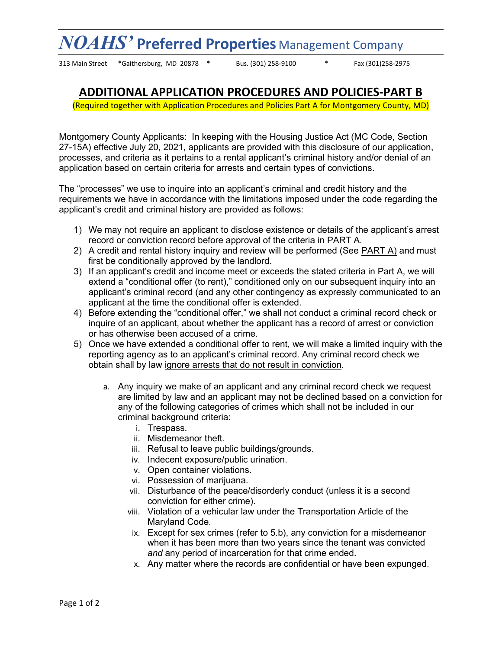## *NOAHS'* **Preferred Properties** Management Company

313 Main Street \*Gaithersburg, MD 20878 \* Bus. (301) 258-9100 \* Fax (301)258-2975

#### **ADDITIONAL APPLICATION PROCEDURES AND POLICIES-PART B**

(Required together with Application Procedures and Policies Part A for Montgomery County, MD)

Montgomery County Applicants: In keeping with the Housing Justice Act (MC Code, Section 27-15A) effective July 20, 2021, applicants are provided with this disclosure of our application, processes, and criteria as it pertains to a rental applicant's criminal history and/or denial of an application based on certain criteria for arrests and certain types of convictions.

The "processes" we use to inquire into an applicant's criminal and credit history and the requirements we have in accordance with the limitations imposed under the code regarding the applicant's credit and criminal history are provided as follows:

- 1) We may not require an applicant to disclose existence or details of the applicant's arrest record or conviction record before approval of the criteria in PART A.
- 2) A credit and rental history inquiry and review will be performed (See PART A) and must first be conditionally approved by the landlord.
- 3) If an applicant's credit and income meet or exceeds the stated criteria in Part A, we will extend a "conditional offer (to rent)," conditioned only on our subsequent inquiry into an applicant's criminal record (and any other contingency as expressly communicated to an applicant at the time the conditional offer is extended.
- 4) Before extending the "conditional offer," we shall not conduct a criminal record check or inquire of an applicant, about whether the applicant has a record of arrest or conviction or has otherwise been accused of a crime.
- 5) Once we have extended a conditional offer to rent, we will make a limited inquiry with the reporting agency as to an applicant's criminal record. Any criminal record check we obtain shall by law ignore arrests that do not result in conviction.
	- a. Any inquiry we make of an applicant and any criminal record check we request are limited by law and an applicant may not be declined based on a conviction for any of the following categories of crimes which shall not be included in our criminal background criteria:
		- i. Trespass.
		- ii. Misdemeanor theft.
		- iii. Refusal to leave public buildings/grounds.
		- iv. Indecent exposure/public urination.
		- v. Open container violations.
		- vi. Possession of marijuana.
		- vii. Disturbance of the peace/disorderly conduct (unless it is a second conviction for either crime).
		- viii. Violation of a vehicular law under the Transportation Article of the Maryland Code.
		- ix. Except for sex crimes (refer to 5.b), any conviction for a misdemeanor when it has been more than two years since the tenant was convicted *and* any period of incarceration for that crime ended.
		- x. Any matter where the records are confidential or have been expunged.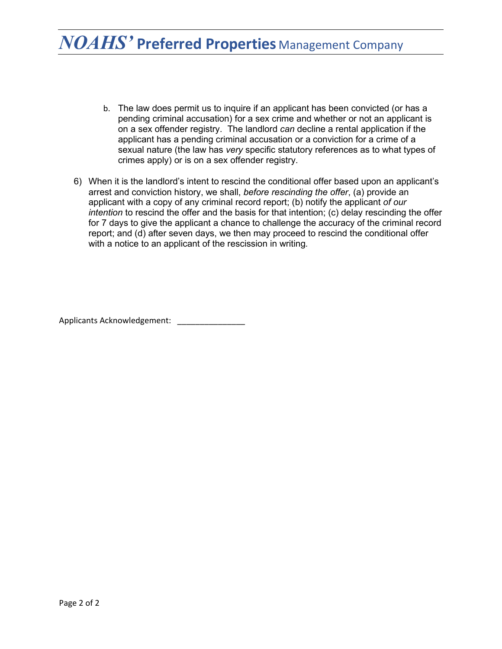### *NOAHS'* **Preferred Properties** Management Company

- b. The law does permit us to inquire if an applicant has been convicted (or has a pending criminal accusation) for a sex crime and whether or not an applicant is on a sex offender registry. The landlord *can* decline a rental application if the applicant has a pending criminal accusation or a conviction for a crime of a sexual nature (the law has *very* specific statutory references as to what types of crimes apply) or is on a sex offender registry.
- 6) When it is the landlord's intent to rescind the conditional offer based upon an applicant's arrest and conviction history, we shall, *before rescinding the offer*, (a) provide an applicant with a copy of any criminal record report; (b) notify the applicant *of our intention* to rescind the offer and the basis for that intention; (c) delay rescinding the offer for 7 days to give the applicant a chance to challenge the accuracy of the criminal record report; and (d) after seven days, we then may proceed to rescind the conditional offer with a notice to an applicant of the rescission in writing*.*

Applicants Acknowledgement: \_\_\_\_\_\_\_\_\_\_\_\_\_\_\_